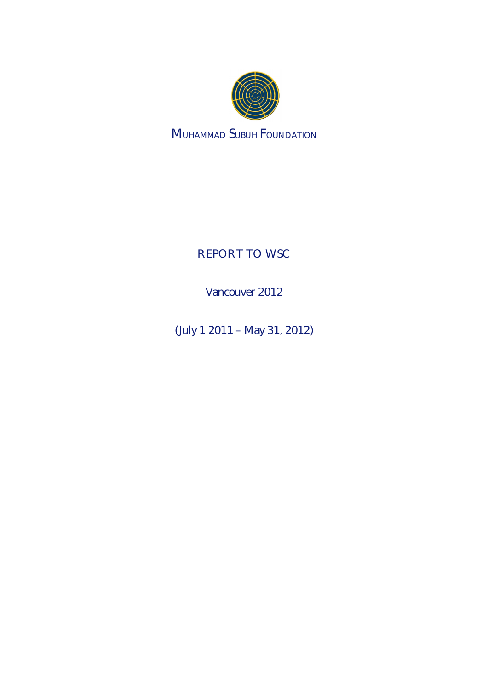

**MUHAMMAD SUBUH FOUNDATION** 

**REPORT TO WSC** 

Vancouver 2012

(July 1 2011 – May 31, 2012)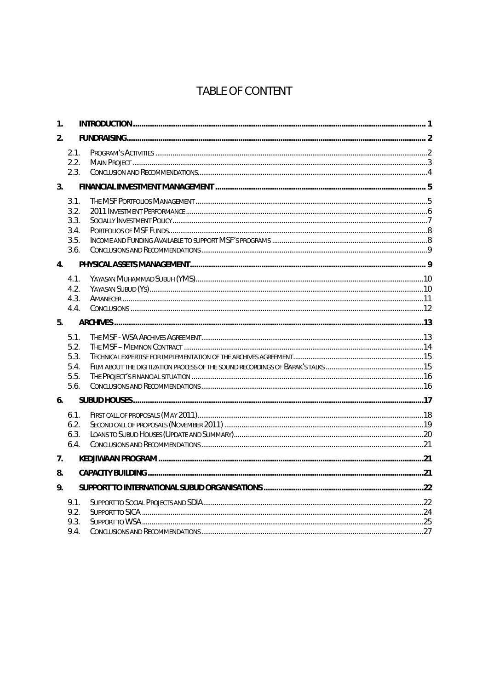# TABLE OF CONTENT

| 1.             |                                              |  |
|----------------|----------------------------------------------|--|
| 2.             |                                              |  |
|                | 2.1.<br>2.2.<br>2.3.                         |  |
| 3 <sub>1</sub> |                                              |  |
|                | 3.1.<br>3.2.<br>3.3.<br>3.4.<br>3.5.<br>3.6. |  |
| $\mathbf{4}$ . |                                              |  |
|                | 4.1.<br>4.2.<br>4.3.<br>4.4.                 |  |
| 5 <sub>1</sub> |                                              |  |
|                | 5.1.<br>5.2.<br>5.3.<br>5.4.<br>5.5.<br>5.6. |  |
| 6.             |                                              |  |
|                | 6.1.<br>6.2.<br>6.3.<br>6.4.                 |  |
| 7 <sub>1</sub> |                                              |  |
| 8.             |                                              |  |
| 9.             |                                              |  |
|                | 9.1.<br>9.2.<br>9.3.<br>9.4.                 |  |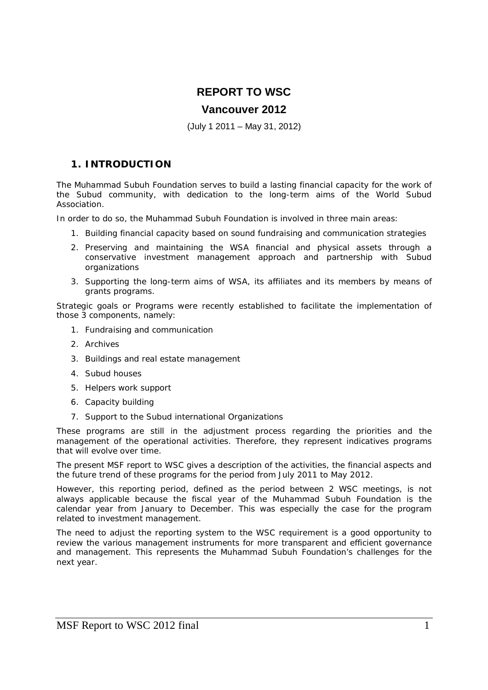# **REPORT TO WSC**

# **Vancouver 2012**

(July 1 2011 – May 31, 2012)

# **1. INTRODUCTION**

The Muhammad Subuh Foundation serves to build a lasting financial capacity for the work of the Subud community, with dedication to the long-term aims of the World Subud Association.

In order to do so, the Muhammad Subuh Foundation is involved in three main areas:

- 1. Building financial capacity based on sound fundraising and communication strategies
- 2. Preserving and maintaining the WSA financial and physical assets through a conservative investment management approach and partnership with Subud organizations
- 3. Supporting the long-term aims of WSA, its affiliates and its members by means of grants programs.

Strategic goals or Programs were recently established to facilitate the implementation of those 3 components, namely:

- 1. Fundraising and communication
- 2. Archives
- 3. Buildings and real estate management
- 4. Subud houses
- 5. Helpers work support
- 6. Capacity building
- 7. Support to the Subud international Organizations

These programs are still in the adjustment process regarding the priorities and the management of the operational activities. Therefore, they represent indicatives programs that will evolve over time.

The present MSF report to WSC gives a description of the activities, the financial aspects and the future trend of these programs for the period from July 2011 to May 2012.

However, this reporting period, defined as the period between 2 WSC meetings, is not always applicable because the fiscal year of the Muhammad Subuh Foundation is the calendar year from January to December. This was especially the case for the program related to investment management.

The need to adjust the reporting system to the WSC requirement is a good opportunity to review the various management instruments for more transparent and efficient governance and management. This represents the Muhammad Subuh Foundation's challenges for the next year.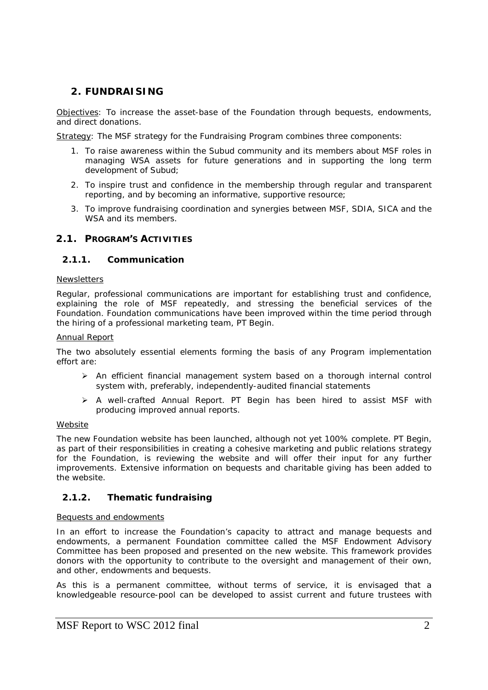# **2. FUNDRAISING**

Objectives: To increase the asset-base of the Foundation through bequests, endowments, and direct donations.

Strategy: The MSF strategy for the Fundraising Program combines three components:

- 1. To raise awareness within the Subud community and its members about MSF roles in managing WSA assets for future generations and in supporting the long term development of Subud;
- 2. To inspire trust and confidence in the membership through regular and transparent reporting, and by becoming an informative, supportive resource;
- 3. To improve fundraising coordination and synergies between MSF, SDIA, SICA and the WSA and its members.

# **2.1. PROGRAM'S ACTIVITIES**

### **2.1.1. Communication**

### **Newsletters**

Regular, professional communications are important for establishing trust and confidence, explaining the role of MSF repeatedly, and stressing the beneficial services of the Foundation. Foundation communications have been improved within the time period through the hiring of a professional marketing team, PT Begin.

#### Annual Report

The two absolutely essential elements forming the basis of any Program implementation effort are:

- $\triangleright$  An efficient financial management system based on a thorough internal control system with, preferably, independently-audited financial statements
- $\triangleright$  A well-crafted Annual Report. PT Begin has been hired to assist MSF with producing improved annual reports.

### **Website**

The new Foundation website has been launched, although not yet 100% complete. PT Begin, as part of their responsibilities in creating a cohesive marketing and public relations strategy for the Foundation, is reviewing the website and will offer their input for any further improvements. Extensive information on bequests and charitable giving has been added to the website.

# **2.1.2. Thematic fundraising**

### Bequests and endowments

In an effort to increase the Foundation's capacity to attract and manage bequests and endowments, a permanent Foundation committee called the MSF Endowment Advisory Committee has been proposed and presented on the new website. This framework provides donors with the opportunity to contribute to the oversight and management of their own, and other, endowments and bequests.

As this is a permanent committee, without terms of service, it is envisaged that a knowledgeable resource-pool can be developed to assist current and future trustees with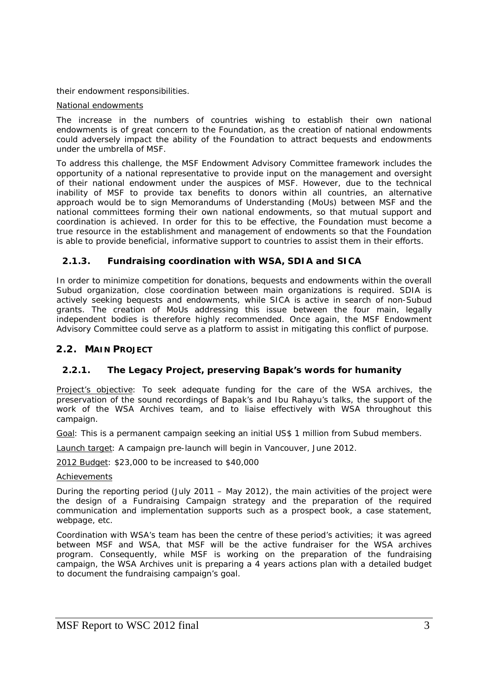their endowment responsibilities.

#### National endowments

The increase in the numbers of countries wishing to establish their own national endowments is of great concern to the Foundation, as the creation of national endowments could adversely impact the ability of the Foundation to attract bequests and endowments under the umbrella of MSF.

To address this challenge, the MSF Endowment Advisory Committee framework includes the opportunity of a national representative to provide input on the management and oversight of their national endowment under the auspices of MSF. However, due to the technical inability of MSF to provide tax benefits to donors within all countries, an alternative approach would be to sign Memorandums of Understanding (MoUs) between MSF and the national committees forming their own national endowments, so that mutual support and coordination is achieved. In order for this to be effective, the Foundation must become a true resource in the establishment and management of endowments so that the Foundation is able to provide beneficial, informative support to countries to assist them in their efforts.

# **2.1.3. Fundraising coordination with WSA, SDIA and SICA**

In order to minimize competition for donations, bequests and endowments within the overall Subud organization, close coordination between main organizations is required. SDIA is actively seeking bequests and endowments, while SICA is active in search of non-Subud grants. The creation of MoUs addressing this issue between the four main, legally independent bodies is therefore highly recommended. Once again, the MSF Endowment Advisory Committee could serve as a platform to assist in mitigating this conflict of purpose.

### **2.2. MAIN PROJECT**

# **2.2.1. The Legacy Project, preserving Bapak's words for humanity**

Project's objective: To seek adequate funding for the care of the WSA archives, the preservation of the sound recordings of Bapak's and Ibu Rahayu's talks, the support of the work of the WSA Archives team, and to liaise effectively with WSA throughout this campaign.

Goal: This is a permanent campaign seeking an initial US\$ 1 million from Subud members.

Launch target: A campaign pre-launch will begin in Vancouver, June 2012.

2012 Budget: \$23,000 to be increased to \$40,000

### **Achievements**

During the reporting period (July 2011 – May 2012), the main activities of the project were the design of a Fundraising Campaign strategy and the preparation of the required communication and implementation supports such as a prospect book, a case statement, webpage, etc.

Coordination with WSA's team has been the centre of these period's activities; it was agreed between MSF and WSA, that MSF will be the active fundraiser for the WSA archives program. Consequently, while MSF is working on the preparation of the fundraising campaign, the WSA Archives unit is preparing a 4 years actions plan with a detailed budget to document the fundraising campaign's goal.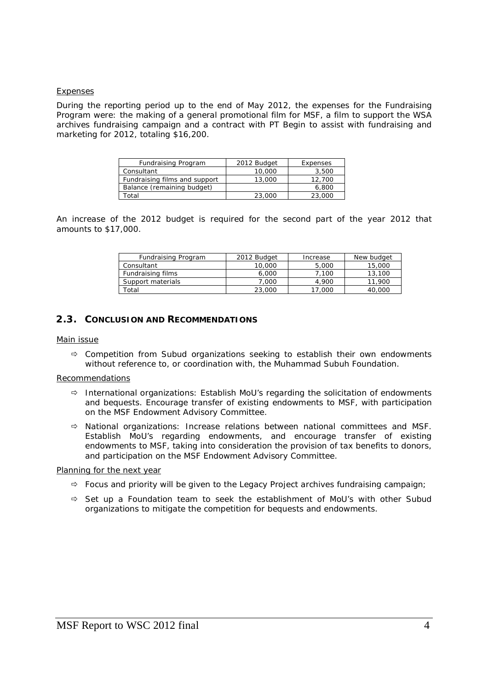### Expenses

During the reporting period up to the end of May 2012, the expenses for the Fundraising Program were: the making of a general promotional film for MSF, a film to support the WSA archives fundraising campaign and a contract with PT Begin to assist with fundraising and marketing for 2012, totaling \$16,200.

| Fundraising Program           | 2012 Budget | Expenses |
|-------------------------------|-------------|----------|
| Consultant                    | 10,000      | 3,500    |
| Fundraising films and support | 13,000      | 12,700   |
| Balance (remaining budget)    |             | 6.800    |
| Total                         | 23,000      | 23,000   |

An increase of the 2012 budget is required for the second part of the year 2012 that amounts to \$17,000.

| Fundraising Program | 2012 Budget | Increase | New budget |
|---------------------|-------------|----------|------------|
| Consultant          | 10,000      | 5,000    | 15,000     |
| Fundraising films   | 6,000       | 7.100    | 13,100     |
| Support materials   | 7,000       | 4.900    | .900       |
| `otal               | 23,000      | 17.000   | 40.000     |

### **2.3. CONCLUSION AND RECOMMENDATIONS**

#### Main issue

 $\Rightarrow$  Competition from Subud organizations seeking to establish their own endowments without reference to, or coordination with, the Muhammad Subuh Foundation.

#### Recommendations

- *International organizations*: Establish MoU's regarding the solicitation of endowments and bequests. Encourage transfer of existing endowments to MSF, with participation on the MSF Endowment Advisory Committee.
- *National organizations*: Increase relations between national committees and MSF. Establish MoU's regarding endowments, and encourage transfer of existing endowments to MSF, taking into consideration the provision of tax benefits to donors, and participation on the MSF Endowment Advisory Committee.

### Planning for the next year

- $\Rightarrow$  Focus and priority will be given to the Legacy Project archives fundraising campaign;
- $\Rightarrow$  Set up a Foundation team to seek the establishment of MoU's with other Subud organizations to mitigate the competition for bequests and endowments.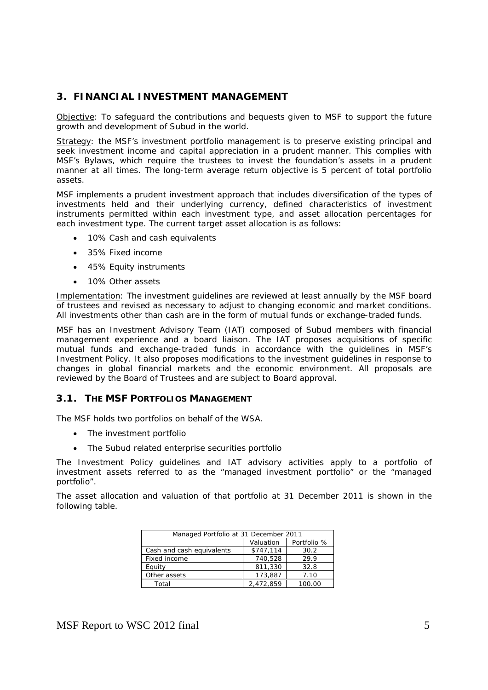# **3. FINANCIAL INVESTMENT MANAGEMENT**

Objective: To safeguard the contributions and bequests given to MSF to support the future growth and development of Subud in the world.

Strategy: the MSF's investment portfolio management is to preserve existing principal and seek investment income and capital appreciation in a prudent manner. This complies with MSF's Bylaws, which require the trustees to invest the foundation's assets in a prudent manner at all times. The long-term average return objective is 5 percent of total portfolio assets.

MSF implements a prudent investment approach that includes diversification of the types of investments held and their underlying currency, defined characteristics of investment instruments permitted within each investment type, and asset allocation percentages for each investment type. The current target asset allocation is as follows:

- 10% Cash and cash equivalents
- 35% Fixed income
- 45% Equity instruments
- 10% Other assets

Implementation: The investment guidelines are reviewed at least annually by the MSF board of trustees and revised as necessary to adjust to changing economic and market conditions. All investments other than cash are in the form of mutual funds or exchange-traded funds.

MSF has an Investment Advisory Team (IAT) composed of Subud members with financial management experience and a board liaison. The IAT proposes acquisitions of specific mutual funds and exchange-traded funds in accordance with the guidelines in MSF's Investment Policy. It also proposes modifications to the investment guidelines in response to changes in global financial markets and the economic environment. All proposals are reviewed by the Board of Trustees and are subject to Board approval.

# **3.1. THE MSF PORTFOLIOS MANAGEMENT**

The MSF holds two portfolios on behalf of the WSA.

- The investment portfolio
- The Subud related enterprise securities portfolio

The Investment Policy guidelines and IAT advisory activities apply to a portfolio of investment assets referred to as the "managed investment portfolio" or the "managed portfolio".

The asset allocation and valuation of that portfolio at 31 December 2011 is shown in the following table.

| Managed Portfolio at 31 December 2011 |           |        |  |
|---------------------------------------|-----------|--------|--|
| Portfolio %<br>Valuation              |           |        |  |
| Cash and cash equivalents             | \$747,114 | 30.2   |  |
| Fixed income                          | 740,528   | 29.9   |  |
| Equity                                | 811,330   | 32.8   |  |
| Other assets                          | 173.887   | 7.10   |  |
| Total                                 | 2.472.859 | 100.00 |  |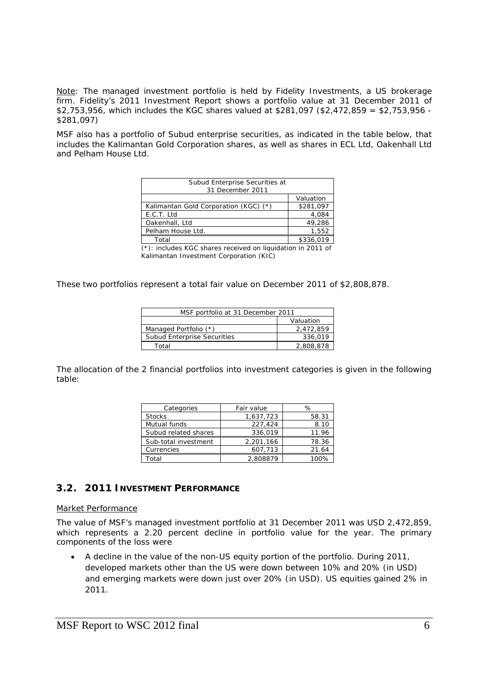*Note: The managed investment portfolio is held by Fidelity Investments, a US brokerage*  firm. Fidelity's 2011 Investment Report shows a portfolio value at 31 December 2011 of *\$2,753,956, which includes the KGC shares valued at \$281,097 (\$2,472,859 = \$2,753,956 - \$281,097)* 

MSF also has a portfolio of Subud enterprise securities, as indicated in the table below, that includes the Kalimantan Gold Corporation shares, as well as shares in ECL Ltd, Oakenhall Ltd and Pelham House Ltd.

| Subud Enterprise Securities at        |           |
|---------------------------------------|-----------|
| 31 December 2011                      |           |
|                                       | Valuation |
| Kalimantan Gold Corporation (KGC) (*) | \$281,097 |
| E.C.T. Ltd                            | 4.084     |
| Oakenhall, Ltd                        | 49,286    |
| Pelham House Ltd.                     | 1.552     |
| Total                                 | \$336.019 |

(\*): includes KGC shares received on liquidation in 2011 of Kalimantan Investment Corporation (KIC)

These two portfolios represent a total fair value on December 2011 of \$2,808,878.

| MSF portfolio at 31 December 2011  |           |  |
|------------------------------------|-----------|--|
| Valuation                          |           |  |
| Managed Portfolio (*)              | 2,472,859 |  |
| <b>Subud Enterprise Securities</b> | 336.019   |  |
| Total                              | 2,808,878 |  |

The allocation of the 2 financial portfolios into investment categories is given in the following table:

| Categories           | Fair value | $\%$  |
|----------------------|------------|-------|
| <b>Stocks</b>        | 1,637,723  | 58.31 |
| Mutual funds         | 227,424    | 8.10  |
| Subud related shares | 336.019    | 11.96 |
| Sub-total investment | 2,201,166  | 78.36 |
| Currencies           | 607.713    | 21.64 |
| Total                | 2,808879   | 1 በበ% |

# **3.2. 2011 INVESTMENT PERFORMANCE**

#### Market Performance

The value of MSF's managed investment portfolio at 31 December 2011 was USD 2,472,859, which represents a 2.20 percent decline in portfolio value for the year. The primary components of the loss were

 A decline in the value of the non-US equity portion of the portfolio. During 2011, developed markets other than the US were down between 10% and 20% (in USD) and emerging markets were down just over 20% (in USD). US equities gained 2% in 2011.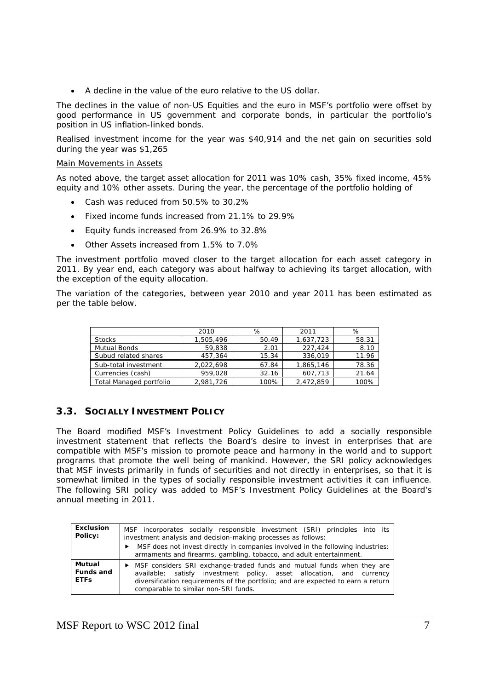A decline in the value of the euro relative to the US dollar.

The declines in the value of non-US Equities and the euro in MSF's portfolio were offset by good performance in US government and corporate bonds, in particular the portfolio's position in US inflation-linked bonds.

Realised investment income for the year was \$40,914 and the net gain on securities sold during the year was \$1,265

#### Main Movements in Assets

As noted above, the target asset allocation for 2011 was 10% cash, 35% fixed income, 45% equity and 10% other assets. During the year, the percentage of the portfolio holding of

- Cash was reduced from 50.5% to 30.2%
- Fixed income funds increased from 21.1% to 29.9%
- Equity funds increased from 26.9% to 32.8%
- Other Assets increased from 1.5% to 7.0%

The investment portfolio moved closer to the target allocation for each asset category in 2011. By year end, each category was about halfway to achieving its target allocation, with the exception of the equity allocation.

The variation of the categories, between year 2010 and year 2011 has been estimated as per the table below.

|                         | 2010      | %     | 2011      | %     |
|-------------------------|-----------|-------|-----------|-------|
| <b>Stocks</b>           | 1,505,496 | 50.49 | 1,637,723 | 58.31 |
| Mutual Bonds            | 59.838    | 2.01  | 227.424   | 8.10  |
| Subud related shares    | 457.364   | 15.34 | 336.019   | 11.96 |
| Sub-total investment    | 2,022,698 | 67.84 | 1,865,146 | 78.36 |
| Currencies (cash)       | 959.028   | 32.16 | 607,713   | 21.64 |
| Total Managed portfolio | 2,981,726 | 100%  | 2,472,859 | 100%  |

# **3.3. SOCIALLY INVESTMENT POLICY**

The Board modified MSF's Investment Policy Guidelines to add a socially responsible investment statement that reflects the Board's desire to invest in enterprises that are compatible with MSF's mission to promote peace and harmony in the world and to support programs that promote the well being of mankind. However, the SRI policy acknowledges that MSF invests primarily in funds of securities and not directly in enterprises, so that it is somewhat limited in the types of socially responsible investment activities it can influence. The following SRI policy was added to MSF's Investment Policy Guidelines at the Board's annual meeting in 2011.

| Exclusion<br>Policy:               | MSF incorporates socially responsible investment (SRI) principles into its<br>investment analysis and decision-making processes as follows:<br>MSF does not invest directly in companies involved in the following industries:<br>armaments and firearms, gambling, tobacco, and adult entertainment. |  |  |  |
|------------------------------------|-------------------------------------------------------------------------------------------------------------------------------------------------------------------------------------------------------------------------------------------------------------------------------------------------------|--|--|--|
| Mutual<br>Funds and<br><b>ETFS</b> | • MSF considers SRI exchange-traded funds and mutual funds when they are<br>available; satisfy investment policy, asset allocation, and currency<br>diversification requirements of the portfolio; and are expected to earn a return<br>comparable to similar non-SRI funds.                          |  |  |  |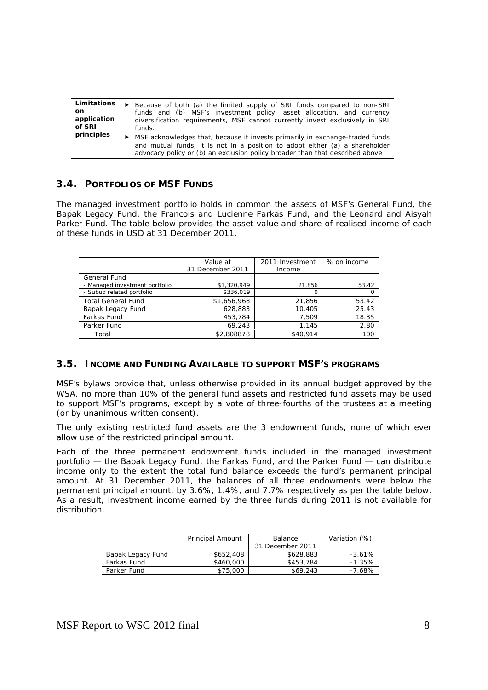| Limitations | ► Because of both (a) the limited supply of SRI funds compared to non-SRI                                                                                                                                                                     |
|-------------|-----------------------------------------------------------------------------------------------------------------------------------------------------------------------------------------------------------------------------------------------|
| on.         | funds and (b) MSF's investment policy, asset allocation, and currency                                                                                                                                                                         |
| application | diversification requirements, MSF cannot currently invest exclusively in SRI                                                                                                                                                                  |
| of SRI      | funds.                                                                                                                                                                                                                                        |
| principles  | ► MSF acknowledges that, because it invests primarily in exchange-traded funds<br>and mutual funds, it is not in a position to adopt either (a) a shareholder<br>advocacy policy or (b) an exclusion policy broader than that described above |

# **3.4. PORTFOLIOS OF MSF FUNDS**

The managed investment portfolio holds in common the assets of MSF's General Fund, the Bapak Legacy Fund, the Francois and Lucienne Farkas Fund, and the Leonard and Aisyah Parker Fund. The table below provides the asset value and share of realised income of each of these funds in USD at 31 December 2011.

|                                | Value at<br>31 December 2011 | 2011 Investment<br>Income | % on income |
|--------------------------------|------------------------------|---------------------------|-------------|
| General Fund                   |                              |                           |             |
| - Managed investment portfolio | \$1,320,949                  | 21,856                    | 53.42       |
| - Subud related portfolio      | \$336.019                    |                           |             |
| <b>Total General Fund</b>      | \$1,656,968                  | 21.856                    | 53.42       |
| Bapak Legacy Fund              | 628.883                      | 10.405                    | 25.43       |
| Farkas Fund                    | 453,784                      | 7.509                     | 18.35       |
| Parker Fund                    | 69.243                       | 1.145                     | 2.80        |
| Total                          | \$2,808878                   | \$40.914                  | 100         |

# **3.5. INCOME AND FUNDING AVAILABLE TO SUPPORT MSF'S PROGRAMS**

MSF's bylaws provide that, unless otherwise provided in its annual budget approved by the WSA, no more than 10% of the general fund assets and restricted fund assets may be used to support MSF's programs, except by a vote of three-fourths of the trustees at a meeting (or by unanimous written consent).

The only existing restricted fund assets are the 3 endowment funds, none of which ever allow use of the restricted principal amount.

Each of the three permanent endowment funds included in the managed investment portfolio — the Bapak Legacy Fund, the Farkas Fund, and the Parker Fund — can distribute income only to the extent the total fund balance exceeds the fund's permanent principal amount. At 31 December 2011, the balances of all three endowments were below the permanent principal amount, by 3.6%, 1.4%, and 7.7% respectively as per the table below. As a result, investment income earned by the three funds during 2011 is not available for distribution.

|                   | Principal Amount | <b>Balance</b>   | Variation (%) |
|-------------------|------------------|------------------|---------------|
|                   |                  | 31 December 2011 |               |
| Bapak Legacy Fund | \$652,408        | \$628,883        | $-3.61%$      |
| Farkas Fund       | \$460,000        | \$453,784        | $-1.35%$      |
| Parker Fund       | \$75,000         | \$69,243         | -7.68%        |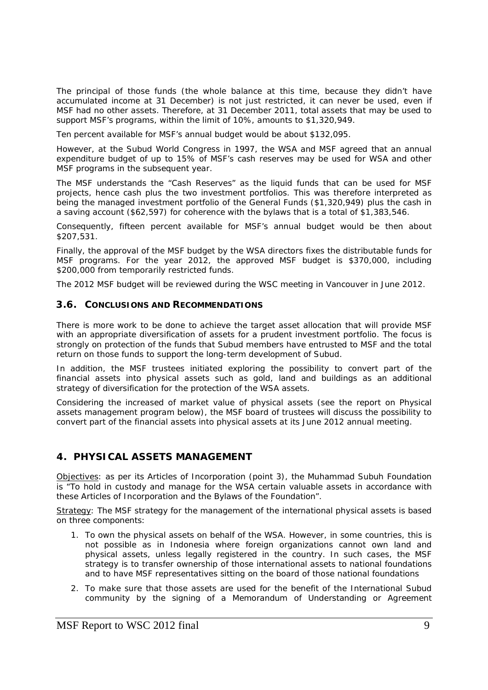The principal of those funds (the whole balance at this time, because they didn't have accumulated income at 31 December) is not just restricted, it can never be used, even if MSF had no other assets. Therefore, at 31 December 2011, total assets that may be used to support MSF's programs, within the limit of 10%, amounts to \$1,320,949.

Ten percent available for MSF's annual budget would be about \$132,095.

However, at the Subud World Congress in 1997, the WSA and MSF agreed that an annual expenditure budget of up to 15% of MSF's cash reserves may be used for WSA and other MSF programs in the subsequent year.

The MSF understands the "Cash Reserves" as the liquid funds that can be used for MSF projects, hence cash plus the two investment portfolios. This was therefore interpreted as being the managed investment portfolio of the General Funds (\$1,320,949) plus the cash in a saving account (\$62,597) for coherence with the bylaws that is a total of \$1,383,546.

Consequently, fifteen percent available for MSF's annual budget would be then about \$207,531.

Finally, the approval of the MSF budget by the WSA directors fixes the distributable funds for MSF programs. For the year 2012, the approved MSF budget is \$370,000, including \$200,000 from temporarily restricted funds.

The 2012 MSF budget will be reviewed during the WSC meeting in Vancouver in June 2012.

#### **3.6. CONCLUSIONS AND RECOMMENDATIONS**

There is more work to be done to achieve the target asset allocation that will provide MSF with an appropriate diversification of assets for a prudent investment portfolio. The focus is strongly on protection of the funds that Subud members have entrusted to MSF and the total return on those funds to support the long-term development of Subud.

In addition, the MSF trustees initiated exploring the possibility to convert part of the financial assets into physical assets such as gold, land and buildings as an additional strategy of diversification for the protection of the WSA assets.

Considering the increased of market value of physical assets (see the report on Physical assets management program below), the MSF board of trustees will discuss the possibility to convert part of the financial assets into physical assets at its June 2012 annual meeting.

# **4. PHYSICAL ASSETS MANAGEMENT**

Objectives: as per its Articles of Incorporation (point 3), the Muhammad Subuh Foundation is "To hold in custody and manage for the WSA certain valuable assets in accordance with these Articles of Incorporation and the Bylaws of the Foundation".

Strategy: The MSF strategy for the management of the international physical assets is based on three components:

- 1. To own the physical assets on behalf of the WSA. However, in some countries, this is not possible as in Indonesia where foreign organizations cannot own land and physical assets, unless legally registered in the country. In such cases, the MSF strategy is to transfer ownership of those international assets to national foundations and to have MSF representatives sitting on the board of those national foundations
- 2. To make sure that those assets are used for the benefit of the International Subud community by the signing of a Memorandum of Understanding or Agreement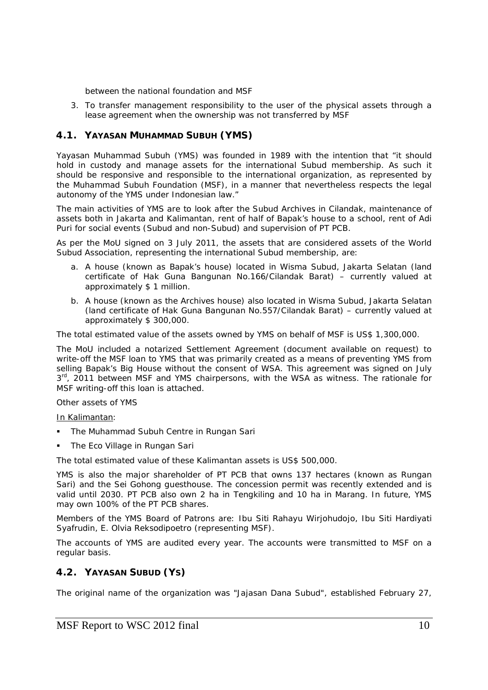between the national foundation and MSF

3. To transfer management responsibility to the user of the physical assets through a lease agreement when the ownership was not transferred by MSF

# **4.1. YAYASAN MUHAMMAD SUBUH (YMS)**

Yayasan Muhammad Subuh (YMS) was founded in 1989 with the intention that "it should hold in custody and manage assets for the international Subud membership. As such it should be responsive and responsible to the international organization, as represented by the Muhammad Subuh Foundation (MSF), in a manner that nevertheless respects the legal autonomy of the YMS under Indonesian law."

The main activities of YMS are to look after the Subud Archives in Cilandak, maintenance of assets both in Jakarta and Kalimantan, rent of half of Bapak's house to a school, rent of Adi Puri for social events (Subud and non-Subud) and supervision of PT PCB.

As per the MoU signed on 3 July 2011, the assets that are considered assets of the World Subud Association, representing the international Subud membership, are:

- a. A house (known as *Bapak's house*) located in Wisma Subud, Jakarta Selatan (land certificate of Hak Guna Bangunan No.166/Cilandak Barat) – currently valued at approximately \$ 1 million.
- b. A house (known as the *Archives house*) also located in Wisma Subud, Jakarta Selatan (land certificate of Hak Guna Bangunan No.557/Cilandak Barat) – currently valued at approximately \$ 300,000.

The total estimated value of the assets owned by YMS on behalf of MSF is US\$ 1,300,000.

The MoU included a notarized Settlement Agreement (document available on request) to write-off the MSF loan to YMS that was primarily created as a means of preventing YMS from selling Bapak's Big House without the consent of WSA. This agreement was signed on July 3<sup>rd</sup>, 2011 between MSF and YMS chairpersons, with the WSA as witness. The rationale for MSF writing-off this loan is *attached*.

### Other assets of YMS

In Kalimantan:

- The Muhammad Subuh Centre in Rungan Sari
- The Eco Village in Rungan Sari

The total estimated value of these Kalimantan assets is US\$ 500,000.

YMS is also the major shareholder of PT PCB that owns 137 hectares (known as Rungan Sari) and the Sei Gohong guesthouse. The concession permit was recently extended and is valid until 2030. PT PCB also own 2 ha in Tengkiling and 10 ha in Marang. In future, YMS may own 100% of the PT PCB shares.

Members of the YMS Board of Patrons are: Ibu Siti Rahayu Wirjohudojo, Ibu Siti Hardiyati Syafrudin, E. Olvia Reksodipoetro (representing MSF).

The accounts of YMS are audited every year. The accounts were transmitted to MSF on a regular basis.

# **4.2. YAYASAN SUBUD (YS)**

The original name of the organization was "Jajasan Dana Subud", established February 27,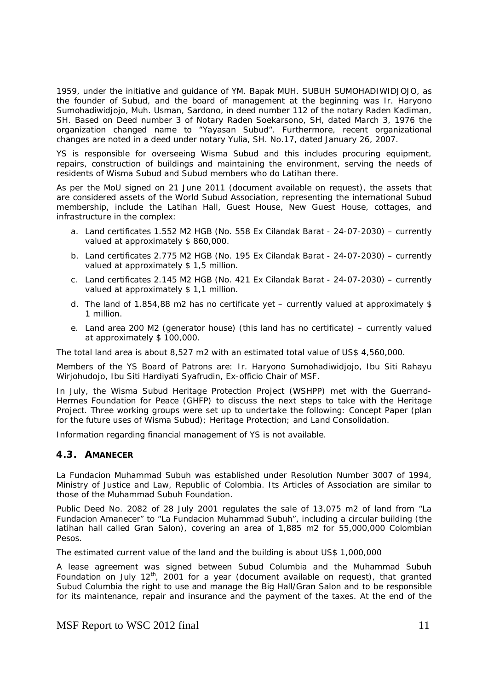1959, under the initiative and guidance of YM. Bapak MUH. SUBUH SUMOHADIWIDJOJO, as the founder of Subud, and the board of management at the beginning was Ir. Haryono Sumohadiwidjojo, Muh. Usman, Sardono, in deed number 112 of the notary Raden Kadiman, SH. Based on Deed number 3 of Notary Raden Soekarsono, SH, dated March 3, 1976 the organization changed name to "Yayasan Subud". Furthermore, recent organizational changes are noted in a deed under notary Yulia, SH. No.17, dated January 26, 2007.

YS is responsible for overseeing Wisma Subud and this includes procuring equipment, repairs, construction of buildings and maintaining the environment, serving the needs of residents of Wisma Subud and Subud members who do Latihan there.

As per the MoU signed on 21 June 2011 (document available on request), the assets that are considered assets of the World Subud Association, representing the international Subud membership, include the Latihan Hall, Guest House, New Guest House, cottages, and infrastructure in the complex:

- a. Land certificates 1.552 M2 HGB (No. 558 Ex Cilandak Barat 24-07-2030) currently valued at approximately \$ 860,000.
- b. Land certificates 2.775 M2 HGB (No. 195 Ex Cilandak Barat 24-07-2030) currently valued at approximately \$1,5 million.
- c. Land certificates 2.145 M2 HGB (No. 421 Ex Cilandak Barat 24-07-2030) currently valued at approximately \$ 1,1 million.
- d. The land of 1.854,88 m2 has no certificate yet currently valued at approximately \$ 1 million.
- e. Land area 200 M2 (generator house) (this land has no certificate) currently valued at approximately \$ 100,000.

The total land area is about 8,527 m2 with an estimated total value of US\$ 4,560,000.

Members of the YS Board of Patrons are: Ir. Haryono Sumohadiwidjojo, Ibu Siti Rahayu Wirjohudojo, Ibu Siti Hardiyati Syafrudin, Ex-officio Chair of MSF.

In July, the Wisma Subud Heritage Protection Project (WSHPP) met with the Guerrand-Hermes Foundation for Peace (GHFP) to discuss the next steps to take with the Heritage Project. Three working groups were set up to undertake the following: Concept Paper (plan for the future uses of Wisma Subud); Heritage Protection; and Land Consolidation.

Information regarding financial management of YS is not available.

### **4.3. AMANECER**

La Fundacion Muhammad Subuh was established under Resolution Number 3007 of 1994, Ministry of Justice and Law, Republic of Colombia. Its Articles of Association are similar to those of the Muhammad Subuh Foundation.

Public Deed No. 2082 of 28 July 2001 regulates the sale of 13,075 m2 of land from "La Fundacion Amanecer" to "La Fundacion Muhammad Subuh", including a circular building (the latihan hall called Gran Salon), covering an area of 1,885 m2 for 55,000,000 Colombian Pesos.

The estimated current value of the land and the building is about US\$ 1,000,000

A lease agreement was signed between Subud Columbia and the Muhammad Subuh Foundation on July  $12<sup>th</sup>$ , 2001 for a year (document available on request), that granted Subud Columbia the right to use and manage the Big Hall/Gran Salon and to be responsible for its maintenance, repair and insurance and the payment of the taxes. At the end of the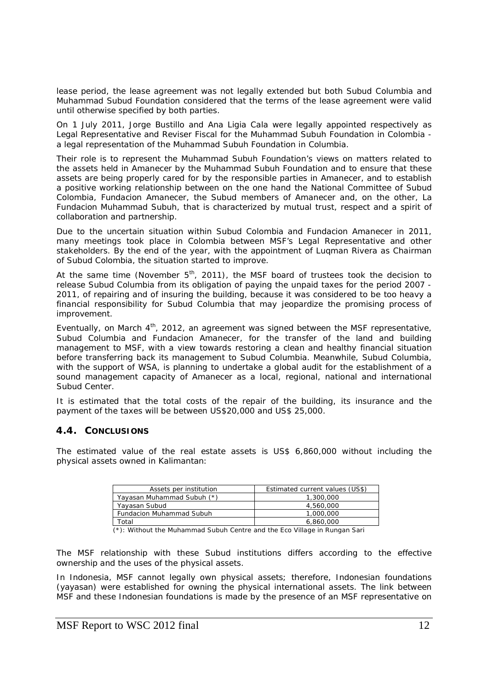lease period, the lease agreement was not legally extended but both Subud Columbia and Muhammad Subud Foundation considered that the terms of the lease agreement were valid until otherwise specified by both parties.

On 1 July 2011, Jorge Bustillo and Ana Ligia Cala were legally appointed respectively as Legal Representative and Reviser Fiscal for the Muhammad Subuh Foundation in Colombia a legal representation of the Muhammad Subuh Foundation in Columbia.

Their role is to represent the Muhammad Subuh Foundation's views on matters related to the assets held in Amanecer by the Muhammad Subuh Foundation and to ensure that these assets are being properly cared for by the responsible parties in Amanecer, and to establish a positive working relationship between on the one hand the National Committee of Subud Colombia, Fundacion Amanecer, the Subud members of Amanecer and, on the other, La Fundacion Muhammad Subuh, that is characterized by mutual trust, respect and a spirit of collaboration and partnership.

Due to the uncertain situation within Subud Colombia and Fundacion Amanecer in 2011, many meetings took place in Colombia between MSF's Legal Representative and other stakeholders. By the end of the year, with the appointment of Luqman Rivera as Chairman of Subud Colombia, the situation started to improve.

At the same time (November  $5<sup>th</sup>$ , 2011), the MSF board of trustees took the decision to release Subud Columbia from its obligation of paying the unpaid taxes for the period 2007 - 2011, of repairing and of insuring the building, because it was considered to be too heavy a financial responsibility for Subud Columbia that may jeopardize the promising process of improvement.

Eventually, on March 4<sup>th</sup>, 2012, an agreement was signed between the MSF representative, Subud Columbia and Fundacion Amanecer, for the transfer of the land and building management to MSF, with a view towards restoring a clean and healthy financial situation before transferring back its management to Subud Columbia. Meanwhile, Subud Columbia, with the support of WSA, is planning to undertake a global audit for the establishment of a sound management capacity of Amanecer as a local, regional, national and international Subud Center.

It is estimated that the total costs of the repair of the building, its insurance and the payment of the taxes will be between US\$20,000 and US\$ 25,000.

# **4.4. CONCLUSIONS**

The estimated value of the real estate assets is US\$ 6,860,000 without including the physical assets owned in Kalimantan:

| Assets per institution          | Estimated current values (US\$) |
|---------------------------------|---------------------------------|
| Yayasan Muhammad Subuh (*)      | 1,300,000                       |
| Yayasan Subud                   | 4.560.000                       |
| <b>Fundacion Muhammad Subuh</b> | 1,000,000                       |
| ⊺otal                           | 6.860.000                       |

 $\overline{(*)}$ : Without the Muhammad Subuh Centre and the Eco Village in Rungan Sari

The MSF relationship with these Subud institutions differs according to the effective ownership and the uses of the physical assets.

In Indonesia, MSF cannot legally own physical assets; therefore, Indonesian foundations (yayasan) were established for owning the physical international assets. The link between MSF and these Indonesian foundations is made by the presence of an MSF representative on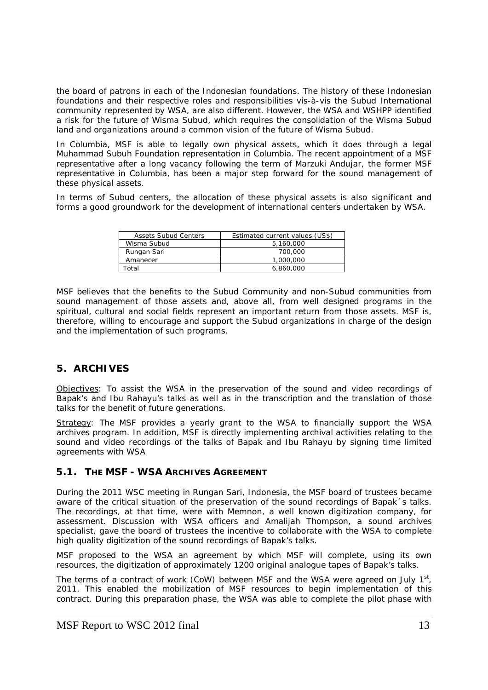the board of patrons in each of the Indonesian foundations. The history of these Indonesian foundations and their respective roles and responsibilities vis-à-vis the Subud International community represented by WSA, are also different. However, the WSA and WSHPP identified a risk for the future of Wisma Subud, which requires the consolidation of the Wisma Subud land and organizations around a common vision of the future of Wisma Subud.

In Columbia, MSF is able to legally own physical assets, which it does through a legal Muhammad Subuh Foundation representation in Columbia. The recent appointment of a MSF representative after a long vacancy following the term of Marzuki Andujar, the former MSF representative in Columbia, has been a major step forward for the sound management of these physical assets.

In terms of Subud centers, the allocation of these physical assets is also significant and forms a good groundwork for the development of international centers undertaken by WSA.

| <b>Assets Subud Centers</b> | Estimated current values (US\$) |
|-----------------------------|---------------------------------|
| Wisma Subud                 | 5,160,000                       |
| Rungan Sari                 | 700,000                         |
| Amanecer                    | 1,000,000                       |
| ntal                        | 6.860.000                       |

MSF believes that the benefits to the Subud Community and non-Subud communities from sound management of those assets and, above all, from well designed programs in the spiritual, cultural and social fields represent an important return from those assets. MSF is, therefore, willing to encourage and support the Subud organizations in charge of the design and the implementation of such programs.

# **5. ARCHIVES**

Objectives: To assist the WSA in the preservation of the sound and video recordings of Bapak's and Ibu Rahayu's talks as well as in the transcription and the translation of those talks for the benefit of future generations.

Strategy: The MSF provides a yearly grant to the WSA to financially support the WSA archives program. In addition, MSF is directly implementing archival activities relating to the sound and video recordings of the talks of Bapak and Ibu Rahayu by signing time limited agreements with WSA

# **5.1. THE MSF - WSA ARCHIVES AGREEMENT**

During the 2011 WSC meeting in Rungan Sari, Indonesia, the MSF board of trustees became aware of the critical situation of the preservation of the sound recordings of Bapak´s talks. The recordings, at that time, were with Memnon, a well known digitization company, for assessment. Discussion with WSA officers and Amalijah Thompson, a sound archives specialist, gave the board of trustees the incentive to collaborate with the WSA to complete high quality digitization of the sound recordings of Bapak's talks.

MSF proposed to the WSA an agreement by which MSF will complete, using its own resources, the digitization of approximately 1200 original analogue tapes of Bapak's talks.

The terms of a contract of work (CoW) between MSF and the WSA were agreed on July  $1<sup>st</sup>$ , 2011. This enabled the mobilization of MSF resources to begin implementation of this contract. During this preparation phase, the WSA was able to complete the pilot phase with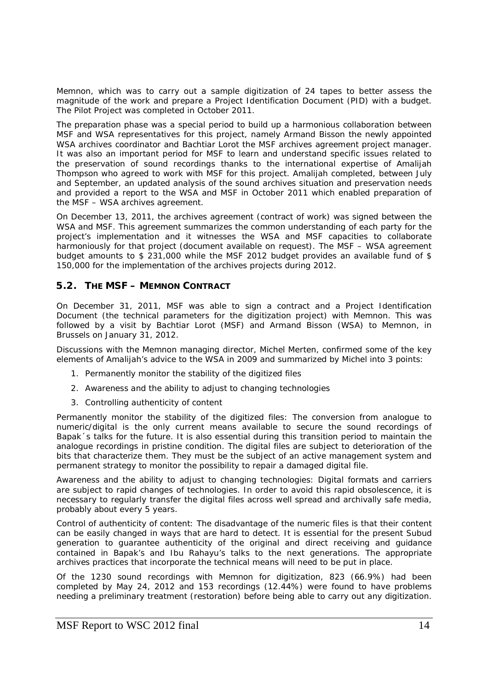Memnon, which was to carry out a sample digitization of 24 tapes to better assess the magnitude of the work and prepare a Project Identification Document (PID) with a budget. The Pilot Project was completed in October 2011.

The preparation phase was a special period to build up a harmonious collaboration between MSF and WSA representatives for this project, namely Armand Bisson the newly appointed WSA archives coordinator and Bachtiar Lorot the MSF archives agreement project manager. It was also an important period for MSF to learn and understand specific issues related to the preservation of sound recordings thanks to the international expertise of Amalijah Thompson who agreed to work with MSF for this project. Amalijah completed, between July and September, an updated analysis of the sound archives situation and preservation needs and provided a report to the WSA and MSF in October 2011 which enabled preparation of the MSF – WSA archives agreement.

On December 13, 2011, the archives agreement (contract of work) was signed between the WSA and MSF. This agreement summarizes the common understanding of each party for the project's implementation and it witnesses the WSA and MSF capacities to collaborate harmoniously for that project (document available on request). The MSF – WSA agreement budget amounts to \$ 231,000 while the MSF 2012 budget provides an available fund of \$ 150,000 for the implementation of the archives projects during 2012.

# **5.2. THE MSF – MEMNON CONTRACT**

On December 31, 2011, MSF was able to sign a contract and a Project Identification Document (the technical parameters for the digitization project) with Memnon. This was followed by a visit by Bachtiar Lorot (MSF) and Armand Bisson (WSA) to Memnon, in Brussels on January 31, 2012.

Discussions with the Memnon managing director, Michel Merten, confirmed some of the key elements of Amalijah's advice to the WSA in 2009 and summarized by Michel into 3 points:

- 1. Permanently monitor the stability of the digitized files
- 2. Awareness and the ability to adjust to changing technologies
- 3. Controlling authenticity of content

*Permanently monitor the stability of the digitized files*: The conversion from analogue to numeric/digital is the only current means available to secure the sound recordings of Bapak´s talks for the future. It is also essential during this transition period to maintain the analogue recordings in pristine condition. The digital files are subject to deterioration of the bits that characterize them. They must be the subject of an active management system and permanent strategy to monitor the possibility to repair a damaged digital file.

*Awareness and the ability to adjust to changing technologies:* Digital formats and carriers are subject to rapid changes of technologies. In order to avoid this rapid obsolescence, it is necessary to regularly transfer the digital files across well spread and archivally safe media, probably about every 5 years.

*Control of authenticity of content:* The disadvantage of the numeric files is that their content can be easily changed in ways that are hard to detect. It is essential for the present Subud generation to guarantee authenticity of the original and direct receiving and guidance contained in Bapak's and Ibu Rahayu's talks to the next generations. The appropriate archives practices that incorporate the technical means will need to be put in place.

Of the 1230 sound recordings with Memnon for digitization, 823 (66.9%) had been completed by May 24, 2012 and 153 recordings (12.44%) were found to have problems needing a preliminary treatment (restoration) before being able to carry out any digitization.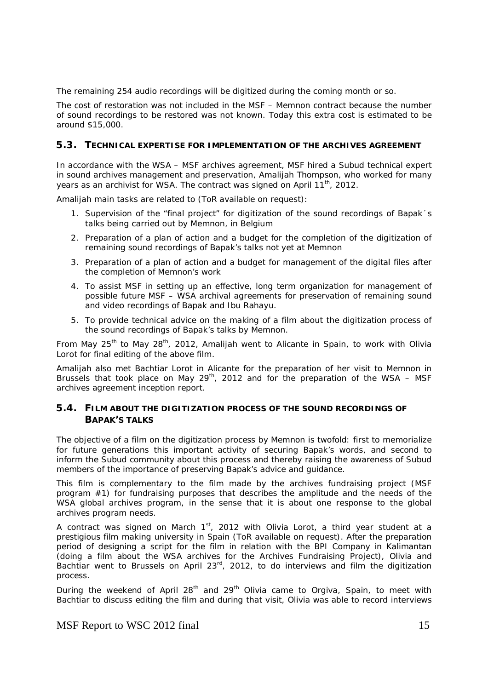The remaining 254 audio recordings will be digitized during the coming month or so.

The cost of restoration was not included in the MSF – Memnon contract because the number of sound recordings to be restored was not known. Today this extra cost is estimated to be around \$15,000.

# **5.3. TECHNICAL EXPERTISE FOR IMPLEMENTATION OF THE ARCHIVES AGREEMENT**

In accordance with the WSA – MSF archives agreement, MSF hired a Subud technical expert in sound archives management and preservation, Amalijah Thompson, who worked for many years as an archivist for WSA. The contract was signed on April 11<sup>th</sup>, 2012.

Amalijah main tasks are related to (ToR available on request):

- 1. Supervision of the "final project" for digitization of the sound recordings of Bapak´s talks being carried out by Memnon, in Belgium
- 2. Preparation of a plan of action and a budget for the completion of the digitization of remaining sound recordings of Bapak's talks not yet at Memnon
- 3. Preparation of a plan of action and a budget for management of the digital files after the completion of Memnon's work
- 4. To assist MSF in setting up an effective, long term organization for management of possible future MSF – WSA archival agreements for preservation of remaining sound and video recordings of Bapak and Ibu Rahayu.
- 5. To provide technical advice on the making of a film about the digitization process of the sound recordings of Bapak's talks by Memnon.

From May  $25<sup>th</sup>$  to May  $28<sup>th</sup>$ , 2012, Amalijah went to Alicante in Spain, to work with Olivia Lorot for final editing of the above film.

Amalijah also met Bachtiar Lorot in Alicante for the preparation of her visit to Memnon in Brussels that took place on May 29<sup>th</sup>, 2012 and for the preparation of the WSA – MSF archives agreement inception report.

# **5.4. FILM ABOUT THE DIGITIZATION PROCESS OF THE SOUND RECORDINGS OF BAPAK'S TALKS**

The objective of a film on the digitization process by Memnon is twofold: first to memorialize for future generations this important activity of securing Bapak's words, and second to inform the Subud community about this process and thereby raising the awareness of Subud members of the importance of preserving Bapak's advice and guidance.

This film is complementary to the film made by the archives fundraising project (MSF program #1) for fundraising purposes that describes the amplitude and the needs of the WSA global archives program, in the sense that it is about one response to the global archives program needs.

A contract was signed on March  $1<sup>st</sup>$ , 2012 with Olivia Lorot, a third year student at a prestigious film making university in Spain (ToR available on request). After the preparation period of designing a script for the film in relation with the BPI Company in Kalimantan (doing a film about the WSA archives for the Archives Fundraising Project), Olivia and Bachtiar went to Brussels on April 23rd, 2012, to do interviews and film the digitization process.

During the weekend of April  $28<sup>th</sup>$  and  $29<sup>th</sup>$  Olivia came to Orgiva, Spain, to meet with Bachtiar to discuss editing the film and during that visit, Olivia was able to record interviews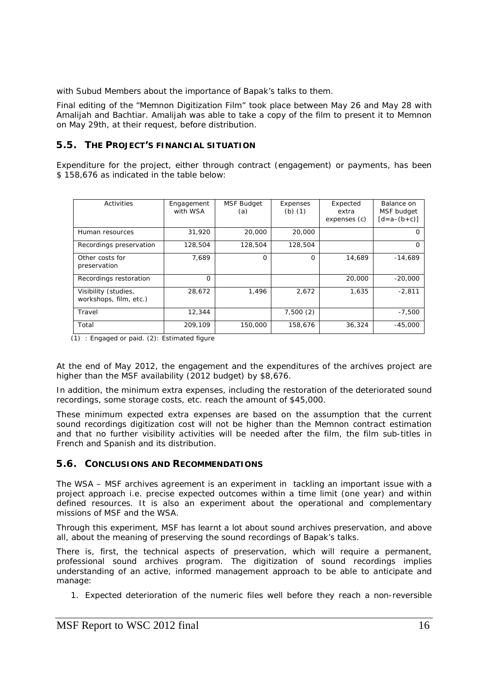with Subud Members about the importance of Bapak's talks to them.

Final editing of the "Memnon Digitization Film" took place between May 26 and May 28 with Amalijah and Bachtiar. Amalijah was able to take a copy of the film to present it to Memnon on May 29th, at their request, before distribution.

# **5.5. THE PROJECT'S FINANCIAL SITUATION**

Expenditure for the project, either through contract (engagement) or payments, has been \$ 158,676 as indicated in the table below:

| Activities                                     | Engagement<br>with WSA | <b>MSF Budget</b><br>(a) | Expenses<br>$(b)$ $(1)$ | Expected<br>extra | Balance on<br>MSF budget |
|------------------------------------------------|------------------------|--------------------------|-------------------------|-------------------|--------------------------|
|                                                |                        |                          |                         | expenses (c)      | $[d = a - (b + c)]$      |
| Human resources                                | 31,920                 | 20,000                   | 20,000                  |                   |                          |
| Recordings preservation                        | 128,504                | 128,504                  | 128,504                 |                   | $\left( \right)$         |
| Other costs for<br>preservation                | 7.689                  | O                        | $\Omega$                | 14,689            | $-14,689$                |
| Recordings restoration                         | O                      |                          |                         | 20,000            | $-20.000$                |
| Visibility (studies,<br>workshops, film, etc.) | 28.672                 | 1.496                    | 2.672                   | 1.635             | $-2.811$                 |
| Travel                                         | 12,344                 |                          | 7,500(2)                |                   | $-7,500$                 |
| Total                                          | 209.109                | 150,000                  | 158.676                 | 36,324            | $-45.000$                |

(1) : Engaged or paid. (2): Estimated figure

At the end of May 2012, the engagement and the expenditures of the archives project are higher than the MSF availability (2012 budget) by \$8,676.

In addition, the minimum extra expenses, including the restoration of the deteriorated sound recordings, some storage costs, etc. reach the amount of \$45,000.

These minimum expected extra expenses are based on the assumption that the current sound recordings digitization cost will not be higher than the Memnon contract estimation and that no further visibility activities will be needed after the film, the film sub-titles in French and Spanish and its distribution.

# **5.6. CONCLUSIONS AND RECOMMENDATIONS**

The WSA – MSF archives agreement is an experiment in tackling an important issue with a project approach i.e. precise expected outcomes within a time limit (one year) and within defined resources. It is also an experiment about the operational and complementary missions of MSF and the WSA.

Through this experiment, MSF has learnt a lot about sound archives preservation, and above all, about the meaning of preserving the sound recordings of Bapak's talks.

There is, first, the technical aspects of preservation, which will require a permanent, professional sound archives program. The digitization of sound recordings implies understanding of an active, informed management approach to be able to anticipate and manage:

1. Expected deterioration of the numeric files well before they reach a non-reversible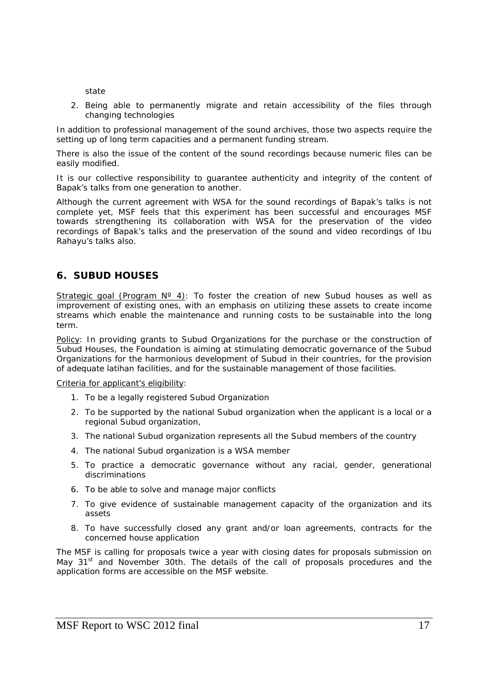state

2. Being able to permanently migrate and retain accessibility of the files through changing technologies

In addition to professional management of the sound archives, those two aspects require the setting up of long term capacities and a permanent funding stream.

There is also the issue of the content of the sound recordings because numeric files can be easily modified.

It is our collective responsibility to guarantee authenticity and integrity of the content of Bapak's talks from one generation to another.

Although the current agreement with WSA for the sound recordings of Bapak's talks is not complete yet, MSF feels that this experiment has been successful and encourages MSF towards strengthening its collaboration with WSA for the preservation of the video recordings of Bapak's talks and the preservation of the sound and video recordings of Ibu Rahayu's talks also.

# **6. SUBUD HOUSES**

Strategic goal (Program  $N^{\circ}$  4): To foster the creation of new Subud houses as well as improvement of existing ones, with an emphasis on utilizing these assets to create income streams which enable the maintenance and running costs to be sustainable into the long term.

Policy: In providing grants to Subud Organizations for the purchase or the construction of Subud Houses, the Foundation is aiming at stimulating democratic governance of the Subud Organizations for the harmonious development of Subud in their countries, for the provision of adequate latihan facilities, and for the sustainable management of those facilities.

### Criteria for applicant's eligibility:

- 1. To be a legally registered Subud Organization
- 2. To be supported by the national Subud organization when the applicant is a local or a regional Subud organization,
- 3. The national Subud organization represents all the Subud members of the country
- 4. The national Subud organization is a WSA member
- 5. To practice a democratic governance without any racial, gender, generational discriminations
- 6. To be able to solve and manage major conflicts
- 7. To give evidence of sustainable management capacity of the organization and its assets
- 8. To have successfully closed any grant and/or loan agreements, contracts for the concerned house application

The MSF is calling for proposals twice a year with closing dates for proposals submission on May 31<sup>st</sup> and November 30th. The details of the call of proposals procedures and the application forms are accessible on the MSF website.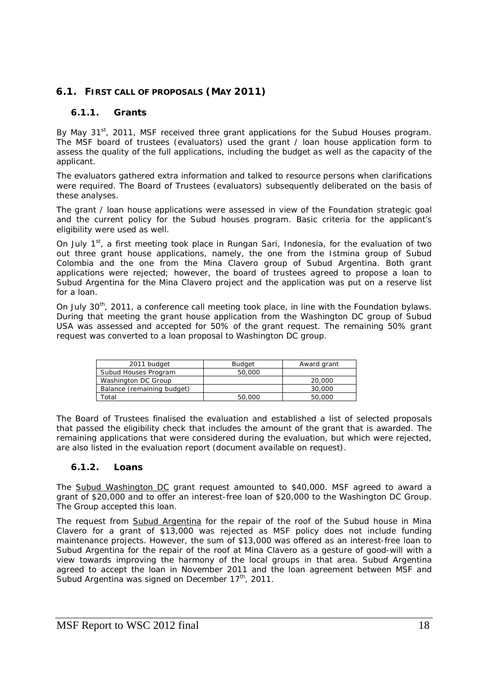# **6.1. FIRST CALL OF PROPOSALS (MAY 2011)**

### **6.1.1. Grants**

By May 31<sup>st</sup>, 2011, MSF received three grant applications for the Subud Houses program. The MSF board of trustees (evaluators) used the grant / loan house application form to assess the quality of the full applications, including the budget as well as the capacity of the applicant.

The evaluators gathered extra information and talked to resource persons when clarifications were required. The Board of Trustees (evaluators) subsequently deliberated on the basis of these analyses.

The grant / loan house applications were assessed in view of the Foundation strategic goal and the current policy for the Subud houses program. Basic criteria for the applicant's eligibility were used as well.

On July  $1<sup>st</sup>$ , a first meeting took place in Rungan Sari, Indonesia, for the evaluation of two out three grant house applications, namely, the one from the Istmina group of Subud Colombia and the one from the Mina Clavero group of Subud Argentina. Both grant applications were rejected; however, the board of trustees agreed to propose a loan to Subud Argentina for the Mina Clavero project and the application was put on a reserve list for a loan.

On July 30<sup>th</sup>, 2011, a conference call meeting took place, in line with the Foundation bylaws. During that meeting the grant house application from the Washington DC group of Subud USA was assessed and accepted for 50% of the grant request. The remaining 50% grant request was converted to a loan proposal to Washington DC group.

| 2011 budget                | <b>Budget</b> | Award grant |
|----------------------------|---------------|-------------|
| Subud Houses Program       | 50,000        |             |
| Washington DC Group        |               | 20,000      |
| Balance (remaining budget) |               | 30,000      |
| `otal                      | 50,000        | 50,000      |

The Board of Trustees finalised the evaluation and established a list of selected proposals that passed the eligibility check that includes the amount of the grant that is awarded. The remaining applications that were considered during the evaluation, but which were rejected, are also listed in the evaluation report (document available on request).

### **6.1.2. Loans**

The Subud Washington DC grant request amounted to \$40,000. MSF agreed to award a grant of \$20,000 and to offer an interest-free loan of \$20,000 to the Washington DC Group. The Group accepted this loan.

The request from Subud Argentina for the repair of the roof of the Subud house in Mina Clavero for a grant of \$13,000 was rejected as MSF policy does not include funding maintenance projects. However, the sum of \$13,000 was offered as an interest-free loan to Subud Argentina for the repair of the roof at Mina Clavero as a gesture of good-will with a view towards improving the harmony of the local groups in that area. Subud Argentina agreed to accept the loan in November 2011 and the loan agreement between MSF and Subud Argentina was signed on December  $17<sup>th</sup>$ , 2011.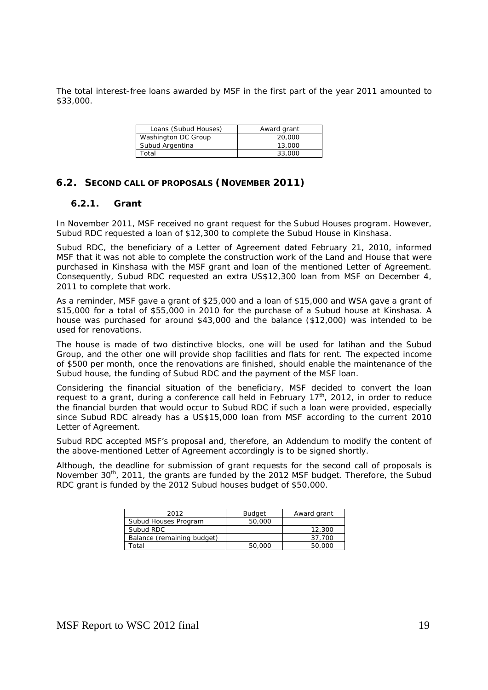The total interest-free loans awarded by MSF in the first part of the year 2011 amounted to \$33,000.

| Loans (Subud Houses) | Award grant |
|----------------------|-------------|
| Washington DC Group  | 20,000      |
| Subud Argentina      | 13,000      |
| Total                | 33.000      |

### **6.2. SECOND CALL OF PROPOSALS (NOVEMBER 2011)**

### **6.2.1. Grant**

In November 2011, MSF received no grant request for the Subud Houses program. However, Subud RDC requested a loan of \$12,300 to complete the Subud House in Kinshasa.

Subud RDC, the beneficiary of a Letter of Agreement dated February 21, 2010, informed MSF that it was not able to complete the construction work of the Land and House that were purchased in Kinshasa with the MSF grant and loan of the mentioned Letter of Agreement. Consequently, Subud RDC requested an extra US\$12,300 loan from MSF on December 4, 2011 to complete that work.

As a reminder, MSF gave a grant of \$25,000 and a loan of \$15,000 and WSA gave a grant of \$15,000 for a total of \$55,000 in 2010 for the purchase of a Subud house at Kinshasa. A house was purchased for around \$43,000 and the balance (\$12,000) was intended to be used for renovations.

The house is made of two distinctive blocks, one will be used for latihan and the Subud Group, and the other one will provide shop facilities and flats for rent. The expected income of \$500 per month, once the renovations are finished, should enable the maintenance of the Subud house, the funding of Subud RDC and the payment of the MSF loan.

Considering the financial situation of the beneficiary, MSF decided to convert the loan request to a grant, during a conference call held in February  $17<sup>th</sup>$ , 2012, in order to reduce the financial burden that would occur to Subud RDC if such a loan were provided, especially since Subud RDC already has a US\$15,000 loan from MSF according to the current 2010 Letter of Agreement.

Subud RDC accepted MSF's proposal and, therefore, an Addendum to modify the content of the above-mentioned Letter of Agreement accordingly is to be signed shortly.

Although, the deadline for submission of grant requests for the second call of proposals is November 30<sup>th</sup>, 2011, the grants are funded by the 2012 MSF budget. Therefore, the Subud RDC grant is funded by the 2012 Subud houses budget of \$50,000.

| 2012                       | <b>Budget</b> | Award grant |
|----------------------------|---------------|-------------|
| Subud Houses Program       | 50,000        |             |
| Subud RDC                  |               | 12,300      |
| Balance (remaining budget) |               | 37.700      |
| Гоtal                      | 50,000        | 50,000      |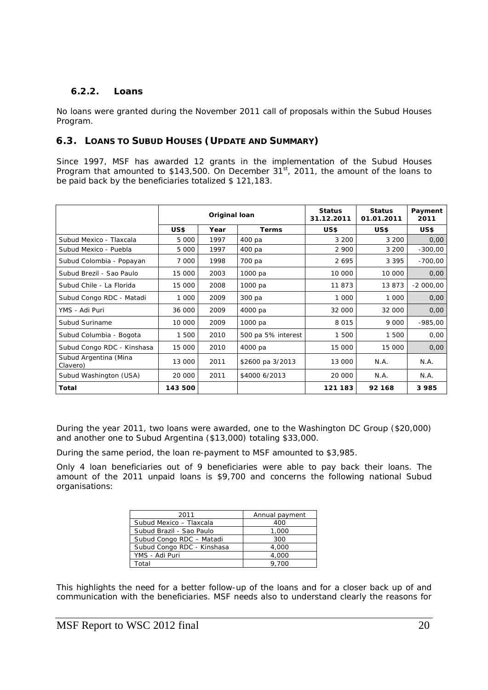# **6.2.2. Loans**

No loans were granted during the November 2011 call of proposals within the Subud Houses Program.

# **6.3. LOANS TO SUBUD HOUSES (UPDATE AND SUMMARY)**

Since 1997, MSF has awarded 12 grants in the implementation of the Subud Houses Program that amounted to  $$143,500$ . On December  $31^{st}$ , 2011, the amount of the loans to be paid back by the beneficiaries totalized \$ 121,183.

|                                   | Original loan |      | <b>Status</b><br>31.12.2011 | <b>Status</b><br>01.01.2011 | Payment<br>2011 |            |
|-----------------------------------|---------------|------|-----------------------------|-----------------------------|-----------------|------------|
|                                   | US\$          | Year | Terms                       | US\$                        | US\$            | US\$       |
| Subud Mexico - Tlaxcala           | 5 000         | 1997 | 400 pa                      | 3 200                       | 3 200           | 0,00       |
| Subud Mexico - Puebla             | 5 000         | 1997 | 400 pa                      | 2 900                       | 3 200           | $-300,00$  |
| Subud Colombia - Popayan          | 7 000         | 1998 | 700 pa                      | 2695                        | 3 3 9 5         | $-700,00$  |
| Subud Brezil - Sao Paulo          | 15 000        | 2003 | 1000 pa                     | 10 000                      | 10 000          | 0,00       |
| Subud Chile - La Florida          | 15 000        | 2008 | 1000 pa                     | 11873                       | 13873           | $-2000,00$ |
| Subud Congo RDC - Matadi          | 1 000         | 2009 | 300 pa                      | 1 0 0 0                     | 1 000           | 0,00       |
| YMS - Adi Puri                    | 36 000        | 2009 | 4000 pa                     | 32 000                      | 32 000          | 0,00       |
| Subud Suriname                    | 10 000        | 2009 | 1000 pa                     | 8015                        | 9 0 0 0         | $-985,00$  |
| Subud Columbia - Bogota           | 1 500         | 2010 | 500 pa 5% interest          | 1 500                       | 1 500           | 0,00       |
| Subud Congo RDC - Kinshasa        | 15 000        | 2010 | 4000 pa                     | 15 000                      | 15 000          | 0,00       |
| Subud Argentina (Mina<br>Clavero) | 13 000        | 2011 | \$2600 pa 3/2013            | 13 000                      | N.A.            | N.A.       |
| Subud Washington (USA)            | 20 000        | 2011 | \$4000 6/2013               | 20 000                      | N.A.            | N.A.       |
| Total                             | 143 500       |      |                             | 121 183                     | 92 168          | 3 9 8 5    |

During the year 2011, two loans were awarded, one to the Washington DC Group (\$20,000) and another one to Subud Argentina (\$13,000) totaling \$33,000.

During the same period, the loan re-payment to MSF amounted to \$3,985.

Only 4 loan beneficiaries out of 9 beneficiaries were able to pay back their loans. The amount of the 2011 unpaid loans is \$9,700 and concerns the following national Subud organisations:

| 2011                       | Annual payment |
|----------------------------|----------------|
| Subud Mexico - Tlaxcala    | 400            |
| Subud Brazil - Sao Paulo   | 1,000          |
| Subud Congo RDC - Matadi   | 300            |
| Subud Congo RDC - Kinshasa | 4.000          |
| YMS - Adi Puri             | 4,000          |
| Total                      | 9.700          |

This highlights the need for a better follow-up of the loans and for a closer back up of and communication with the beneficiaries. MSF needs also to understand clearly the reasons for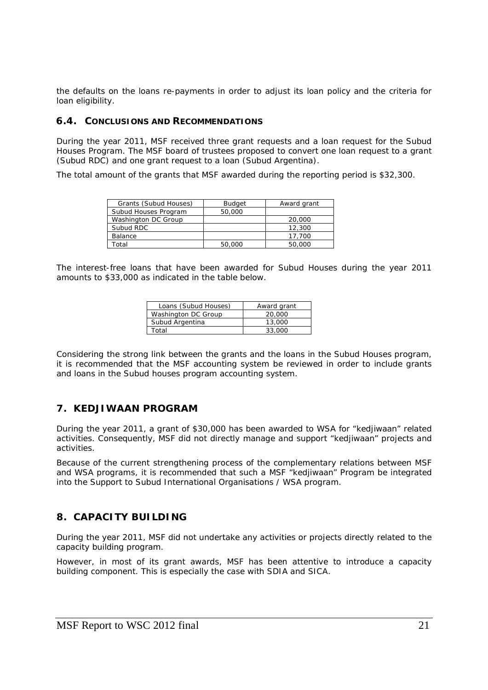the defaults on the loans re-payments in order to adjust its loan policy and the criteria for loan eligibility.

### **6.4. CONCLUSIONS AND RECOMMENDATIONS**

During the year 2011, MSF received three grant requests and a loan request for the Subud Houses Program. The MSF board of trustees proposed to convert one loan request to a grant (Subud RDC) and one grant request to a loan (Subud Argentina).

The total amount of the grants that MSF awarded during the reporting period is \$32,300.

| Grants (Subud Houses) | <b>Budget</b> | Award grant |
|-----------------------|---------------|-------------|
| Subud Houses Program  | 50,000        |             |
| Washington DC Group   |               | 20,000      |
| Subud RDC             |               | 12,300      |
| Balance               |               | 17.700      |
| otal                  | 50,000        | 50,000      |

The interest-free loans that have been awarded for Subud Houses during the year 2011 amounts to \$33,000 as indicated in the table below.

| Loans (Subud Houses) | Award grant |
|----------------------|-------------|
| Washington DC Group  | 20,000      |
| Subud Argentina      | 13,000      |
| Total                | 33.000      |

Considering the strong link between the grants and the loans in the Subud Houses program, it is recommended that the MSF accounting system be reviewed in order to include grants and loans in the Subud houses program accounting system.

# **7. KEDJIWAAN PROGRAM**

During the year 2011, a grant of \$30,000 has been awarded to WSA for "kedjiwaan" related activities. Consequently, MSF did not directly manage and support "kedjiwaan" projects and activities.

Because of the current strengthening process of the complementary relations between MSF and WSA programs, it is recommended that such a MSF "kedjiwaan" Program be integrated into the Support to Subud International Organisations / WSA program.

# **8. CAPACITY BUILDING**

During the year 2011, MSF did not undertake any activities or projects directly related to the capacity building program.

However, in most of its grant awards, MSF has been attentive to introduce a capacity building component. This is especially the case with SDIA and SICA.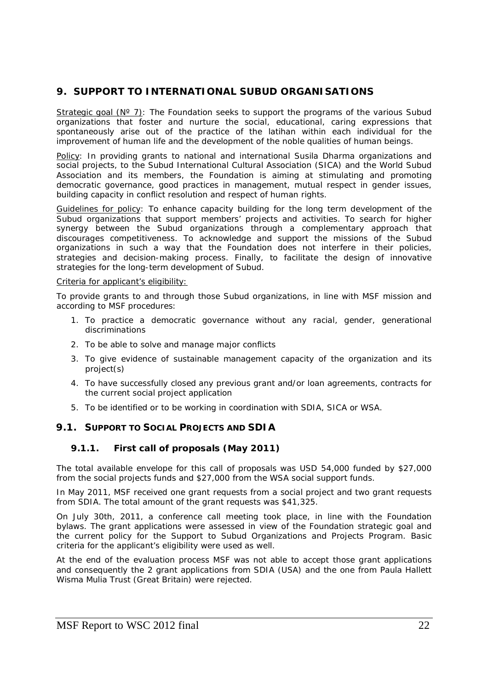# **9. SUPPORT TO INTERNATIONAL SUBUD ORGANISATIONS**

Strategic goal  $(N^{\circ} 7)$ : The Foundation seeks to support the programs of the various Subud organizations that foster and nurture the social, educational, caring expressions that spontaneously arise out of the practice of the latihan within each individual for the improvement of human life and the development of the noble qualities of human beings.

Policy: In providing grants to national and international Susila Dharma organizations and social projects, to the Subud International Cultural Association (SICA) and the World Subud Association and its members, the Foundation is aiming at stimulating and promoting democratic governance, good practices in management, mutual respect in gender issues, building capacity in conflict resolution and respect of human rights.

Guidelines for policy: To enhance capacity building for the long term development of the Subud organizations that support members' projects and activities. To search for higher synergy between the Subud organizations through a complementary approach that discourages competitiveness. To acknowledge and support the missions of the Subud organizations in such a way that the Foundation does not interfere in their policies, strategies and decision-making process. Finally, to facilitate the design of innovative strategies for the long-term development of Subud.

### Criteria for applicant's eligibility:

To provide grants to and through those Subud organizations, in line with MSF mission and according to MSF procedures:

- 1. To practice a democratic governance without any racial, gender, generational discriminations
- 2. To be able to solve and manage major conflicts
- 3. To give evidence of sustainable management capacity of the organization and its project(s)
- 4. To have successfully closed any previous grant and/or loan agreements, contracts for the current social project application
- 5. To be identified or to be working in coordination with SDIA, SICA or WSA.

# **9.1. SUPPORT TO SOCIAL PROJECTS AND SDIA**

# **9.1.1. First call of proposals (May 2011)**

The total available envelope for this call of proposals was USD 54,000 funded by \$27,000 from the social projects funds and \$27,000 from the WSA social support funds.

In May 2011, MSF received one grant requests from a social project and two grant requests from SDIA. The total amount of the grant requests was \$41,325.

On July 30th, 2011, a conference call meeting took place, in line with the Foundation bylaws. The grant applications were assessed in view of the Foundation strategic goal and the current policy for the Support to Subud Organizations and Projects Program. Basic criteria for the applicant's eligibility were used as well.

At the end of the evaluation process MSF was not able to accept those grant applications and consequently the 2 grant applications from SDIA (USA) and the one from Paula Hallett Wisma Mulia Trust (Great Britain) were rejected.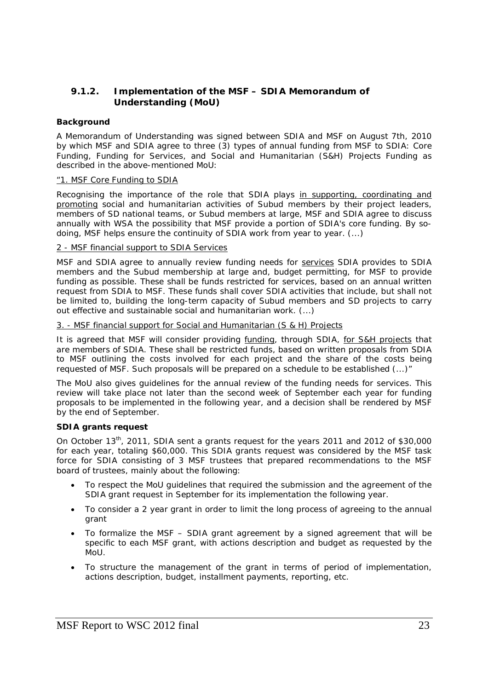# **9.1.2. Implementation of the MSF – SDIA Memorandum of Understanding (MoU)**

### **Background**

A Memorandum of Understanding was signed between SDIA and MSF on August 7th, 2010 by which MSF and SDIA agree to three (3) types of annual funding from MSF to SDIA: Core Funding, Funding for Services, and Social and Humanitarian (S&H) Projects Funding as described in the above-mentioned MoU:

### *"1. MSF Core Funding to SDIA*

*Recognising the importance of the role that SDIA plays in supporting, coordinating and promoting social and humanitarian activities of Subud members by their project leaders, members of SD national teams, or Subud members at large, MSF and SDIA agree to discuss annually with WSA the possibility that MSF provide a portion of SDIA's core funding. By sodoing, MSF helps ensure the continuity of SDIA work from year to year. (...)* 

### *2 - MSF financial support to SDIA Services*

*MSF and SDIA agree to annually review funding needs for services SDIA provides to SDIA members and the Subud membership at large and, budget permitting, for MSF to provide*  funding as possible. These shall be funds restricted for services, based on an annual written *request from SDIA to MSF. These funds shall cover SDIA activities that include, but shall not be limited to, building the long-term capacity of Subud members and SD projects to carry out effective and sustainable social and humanitarian work. (...)* 

### *3. - MSF financial support for Social and Humanitarian (S & H) Projects*

*It is agreed that MSF will consider providing funding, through SDIA, for S&H projects that are members of SDIA. These shall be restricted funds, based on written proposals from SDIA*  to MSF outlining the costs involved for each project and the share of the costs being *requested of MSF. Such proposals will be prepared on a schedule to be established (...)"* 

The MoU also gives guidelines for the annual review of the funding needs for services. This review will take place not later than the second week of September each year for funding proposals to be implemented in the following year, and a decision shall be rendered by MSF by the end of September.

### **SDIA grants request**

On October 13<sup>th</sup>, 2011, SDIA sent a grants request for the years 2011 and 2012 of \$30,000 for each year, totaling \$60,000. This SDIA grants request was considered by the MSF task force for SDIA consisting of 3 MSF trustees that prepared recommendations to the MSF board of trustees, mainly about the following:

- To respect the MoU guidelines that required the submission and the agreement of the SDIA grant request in September for its implementation the following year.
- To consider a 2 year grant in order to limit the long process of agreeing to the annual grant
- To formalize the MSF SDIA grant agreement by a signed agreement that will be specific to each MSF grant, with actions description and budget as requested by the MoU.
- To structure the management of the grant in terms of period of implementation, actions description, budget, installment payments, reporting, etc.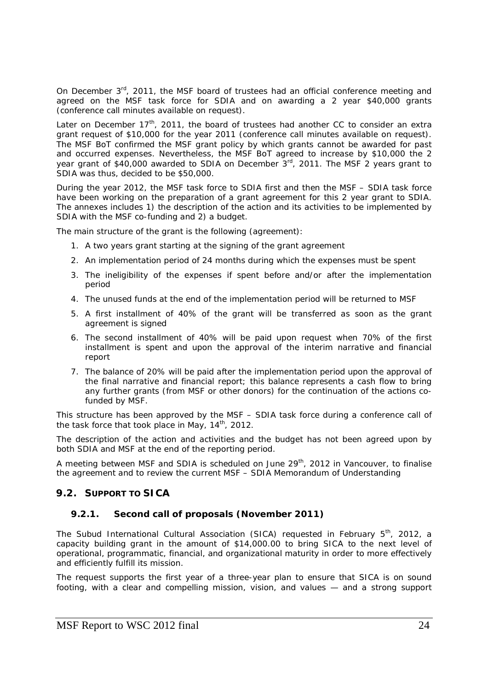On December 3<sup>rd</sup>, 2011, the MSF board of trustees had an official conference meeting and agreed on the MSF task force for SDIA and on awarding a 2 year \$40,000 grants (conference call minutes available on request).

Later on December  $17<sup>th</sup>$ , 2011, the board of trustees had another CC to consider an extra grant request of \$10,000 for the year 2011 (conference call minutes available on request). The MSF BoT confirmed the MSF grant policy by which grants cannot be awarded for past and occurred expenses. Nevertheless, the MSF BoT agreed to increase by \$10,000 the 2 year grant of \$40,000 awarded to SDIA on December 3<sup>rd</sup>, 2011. The MSF 2 years grant to SDIA was thus, decided to be \$50,000.

During the year 2012, the MSF task force to SDIA first and then the MSF – SDIA task force have been working on the preparation of a grant agreement for this 2 year grant to SDIA. The annexes includes 1) the description of the action and its activities to be implemented by SDIA with the MSF co-funding and 2) a budget.

The main structure of the grant is the following (agreement):

- 1. A two years grant starting at the signing of the grant agreement
- 2. An implementation period of 24 months during which the expenses must be spent
- 3. The ineligibility of the expenses if spent before and/or after the implementation period
- 4. The unused funds at the end of the implementation period will be returned to MSF
- 5. A first installment of 40% of the grant will be transferred as soon as the grant agreement is signed
- 6. The second installment of 40% will be paid upon request when 70% of the first installment is spent and upon the approval of the interim narrative and financial report
- 7. The balance of 20% will be paid after the implementation period upon the approval of the final narrative and financial report; this balance represents a cash flow to bring any further grants (from MSF or other donors) for the continuation of the actions cofunded by MSF.

This structure has been approved by the MSF – SDIA task force during a conference call of the task force that took place in May,  $14<sup>th</sup>$ , 2012.

The description of the action and activities and the budget has not been agreed upon by both SDIA and MSF at the end of the reporting period.

A meeting between MSF and SDIA is scheduled on June 29<sup>th</sup>, 2012 in Vancouver, to finalise the agreement and to review the current MSF – SDIA Memorandum of Understanding

# **9.2. SUPPORT TO SICA**

# **9.2.1. Second call of proposals (November 2011)**

The Subud International Cultural Association (SICA) requested in February 5<sup>th</sup>, 2012, a capacity building grant in the amount of \$14,000.00 to bring SICA to the next level of operational, programmatic, financial, and organizational maturity in order to more effectively and efficiently fulfill its mission.

The request supports the first year of a three-year plan to ensure that SICA is on sound footing, with a clear and compelling mission, vision, and values — and a strong support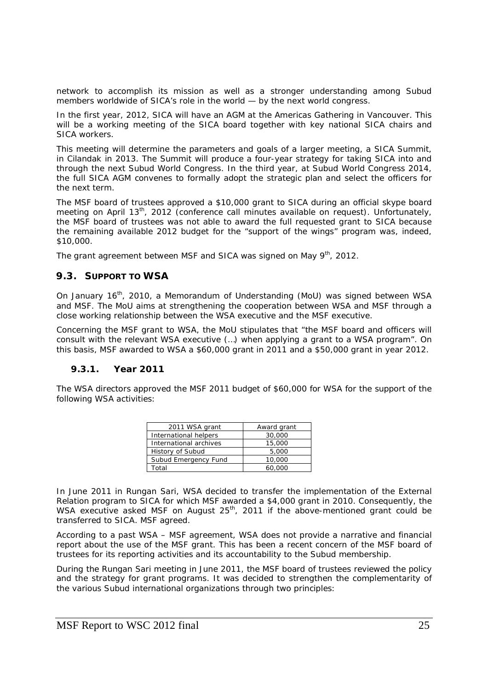network to accomplish its mission as well as a stronger understanding among Subud members worldwide of SICA's role in the world — by the next world congress.

In the first year, 2012, SICA will have an AGM at the Americas Gathering in Vancouver. This will be a working meeting of the SICA board together with key national SICA chairs and SICA workers.

This meeting will determine the parameters and goals of a larger meeting, a SICA Summit, in Cilandak in 2013. The Summit will produce a four-year strategy for taking SICA into and through the next Subud World Congress. In the third year, at Subud World Congress 2014, the full SICA AGM convenes to formally adopt the strategic plan and select the officers for the next term.

The MSF board of trustees approved a \$10,000 grant to SICA during an official skype board meeting on April 13<sup>th</sup>, 2012 (conference call minutes available on request). Unfortunately, the MSF board of trustees was not able to award the full requested grant to SICA because the remaining available 2012 budget for the "support of the wings" program was, indeed, \$10,000.

The grant agreement between MSF and SICA was signed on May 9<sup>th</sup>, 2012.

### **9.3. SUPPORT TO WSA**

On January 16<sup>th</sup>, 2010, a Memorandum of Understanding (MoU) was signed between WSA and MSF. The MoU aims at strengthening the cooperation between WSA and MSF through a close working relationship between the WSA executive and the MSF executive.

Concerning the MSF grant to WSA, the MoU stipulates that "the MSF board and officers will consult with the relevant WSA executive (…) when applying a grant to a WSA program". On this basis, MSF awarded to WSA a \$60,000 grant in 2011 and a \$50,000 grant in year 2012.

### **9.3.1. Year 2011**

The WSA directors approved the MSF 2011 budget of \$60,000 for WSA for the support of the following WSA activities:

| 2011 WSA grant         | Award grant |
|------------------------|-------------|
| International helpers  | 30,000      |
| International archives | 15,000      |
| History of Subud       | 5,000       |
| Subud Emergency Fund   | 10,000      |
| Total                  | 60,000      |

In June 2011 in Rungan Sari, WSA decided to transfer the implementation of the External Relation program to SICA for which MSF awarded a \$4,000 grant in 2010. Consequently, the WSA executive asked MSF on August 25<sup>th</sup>, 2011 if the above-mentioned grant could be transferred to SICA. MSF agreed.

According to a past WSA – MSF agreement, WSA does not provide a narrative and financial report about the use of the MSF grant. This has been a recent concern of the MSF board of trustees for its reporting activities and its accountability to the Subud membership.

During the Rungan Sari meeting in June 2011, the MSF board of trustees reviewed the policy and the strategy for grant programs. It was decided to strengthen the complementarity of the various Subud international organizations through two principles: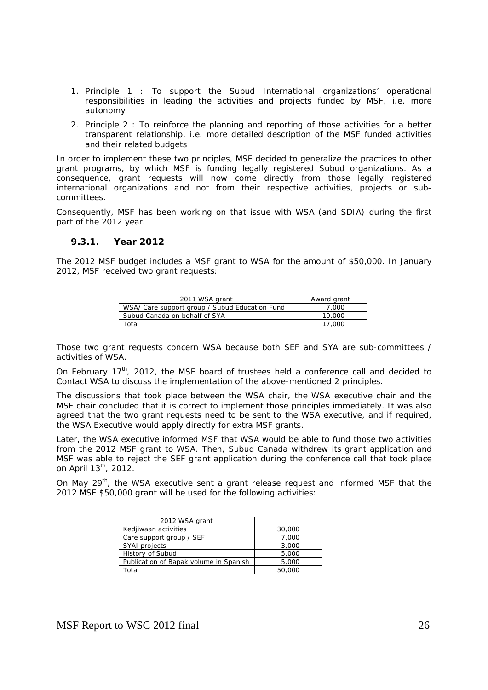- 1. Principle 1 : To support the Subud International organizations' operational responsibilities in leading the activities and projects funded by MSF, i.e. more autonomy
- 2. Principle 2 : To reinforce the planning and reporting of those activities for a better transparent relationship, i.e. more detailed description of the MSF funded activities and their related budgets

In order to implement these two principles, MSF decided to generalize the practices to other grant programs, by which MSF is funding legally registered Subud organizations. As a consequence, grant requests will now come directly from those legally registered international organizations and not from their respective activities, projects or subcommittees.

Consequently, MSF has been working on that issue with WSA (and SDIA) during the first part of the 2012 year.

#### **9.3.1. Year 2012**

The 2012 MSF budget includes a MSF grant to WSA for the amount of \$50,000. In January 2012, MSF received two grant requests:

| 2011 WSA grant                                 | Award grant |
|------------------------------------------------|-------------|
| WSA/ Care support group / Subud Education Fund | 7.000       |
| Subud Canada on behalf of SYA                  | 10,000      |
| Гоtal                                          | 17.000      |

Those two grant requests concern WSA because both SEF and SYA are sub-committees / activities of WSA.

On February 17<sup>th</sup>, 2012, the MSF board of trustees held a conference call and decided to Contact WSA to discuss the implementation of the above-mentioned 2 principles.

The discussions that took place between the WSA chair, the WSA executive chair and the MSF chair concluded that it is correct to implement those principles immediately. It was also agreed that the two grant requests need to be sent to the WSA executive, and if required, the WSA Executive would apply directly for extra MSF grants.

Later, the WSA executive informed MSF that WSA would be able to fund those two activities from the 2012 MSF grant to WSA. Then, Subud Canada withdrew its grant application and MSF was able to reject the SEF grant application during the conference call that took place on April 13<sup>th</sup>, 2012.

On May  $29^{th}$ , the WSA executive sent a grant release request and informed MSF that the 2012 MSF \$50,000 grant will be used for the following activities:

| 2012 WSA grant                         |        |
|----------------------------------------|--------|
| Kedjiwaan activities                   | 30,000 |
| Care support group / SEF               | 7,000  |
| SYAI projects                          | 3,000  |
| History of Subud                       | 5,000  |
| Publication of Bapak volume in Spanish | 5,000  |
| Total                                  | 50,000 |